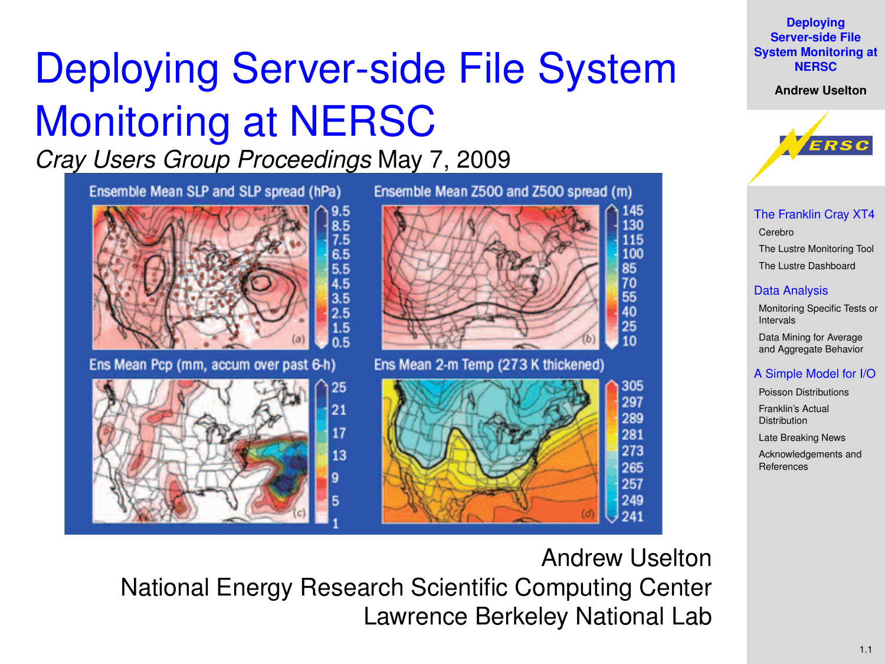# Deploying Server-side File System Monitoring at NERSC

*Cray Users Group Proceedings* May 7, 2009



**Deploying Server-side File [System Monitoring at](#page-19-0) NERSC**

**Andrew Uselton**



[The Franklin Cray XT4](#page-2-0) [Cerebro](#page-3-0) [The Lustre Monitoring Tool](#page-4-0) [The Lustre Dashboard](#page-8-0)

#### [Data Analysis](#page-9-0)

[Monitoring Specific Tests or](#page-9-0) Intervals Data Mining for Average [and Aggregate Behavior](#page-10-0)

### [A Simple Model for I/O](#page-12-0)

[Poisson Distributions](#page-12-0) [Franklin's Actual](#page-16-0) **Distribution** [Late Breaking News](#page-17-0)

[Acknowledgements and](#page-18-0) References

<span id="page-0-0"></span>Andrew Uselton National Energy Research Scientific Computing Center Lawrence Berkeley National Lab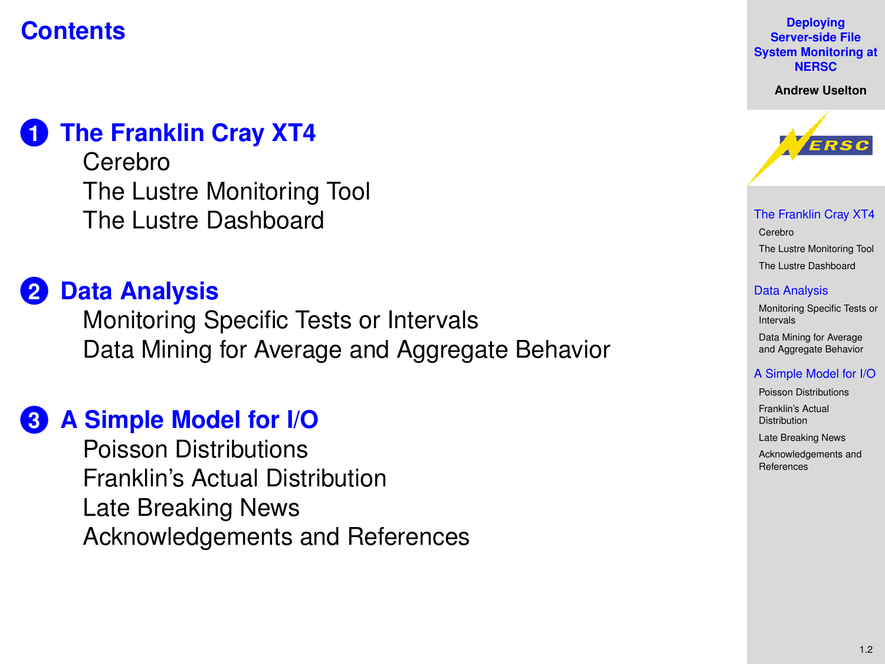### **Contents**

### **1 [The Franklin Cray XT4](#page-2-0)**

[Cerebro](#page-3-0) [The Lustre Monitoring Tool](#page-4-0) [The Lustre Dashboard](#page-8-0)

## **2 [Data Analysis](#page-9-0)**

[Monitoring Specific Tests or Intervals](#page-9-0) [Data Mining for Average and Aggregate Behavior](#page-10-0)

### **3 [A Simple Model for I/O](#page-12-0)**

[Poisson Distributions](#page-12-0) [Franklin's Actual Distribution](#page-16-0) [Late Breaking News](#page-17-0) [Acknowledgements and References](#page-18-0)

**Deploying Server-side File [System Monitoring at](#page-0-0) NERSC**

**Andrew Uselton**



[The Franklin Cray XT4](#page-2-0) [Cerebro](#page-3-0) [The Lustre Monitoring Tool](#page-4-0) [The Lustre Dashboard](#page-8-0)

#### [Data Analysis](#page-9-0)

[Monitoring Specific Tests or](#page-9-0) Intervals Data Mining for Average [and Aggregate Behavior](#page-10-0)

#### [A Simple Model for I/O](#page-12-0)

[Poisson Distributions](#page-12-0) [Franklin's Actual](#page-16-0) **Distribution** [Late Breaking News](#page-17-0)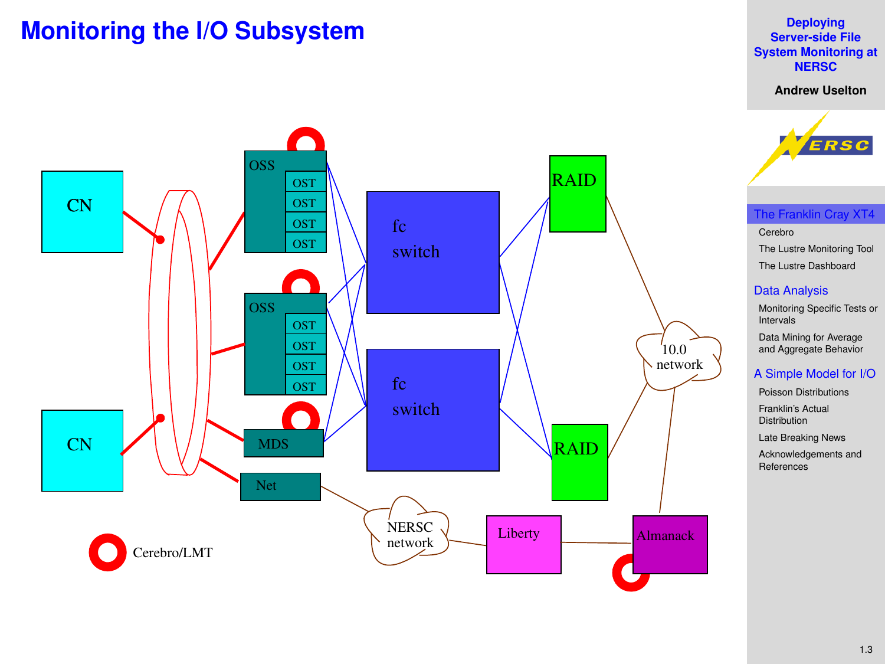### **Monitoring the I/O Subsystem**

#### **Deploying Server-side File [System Monitoring at](#page-0-0) NERSC**

**Andrew Uselton**

<span id="page-2-0"></span>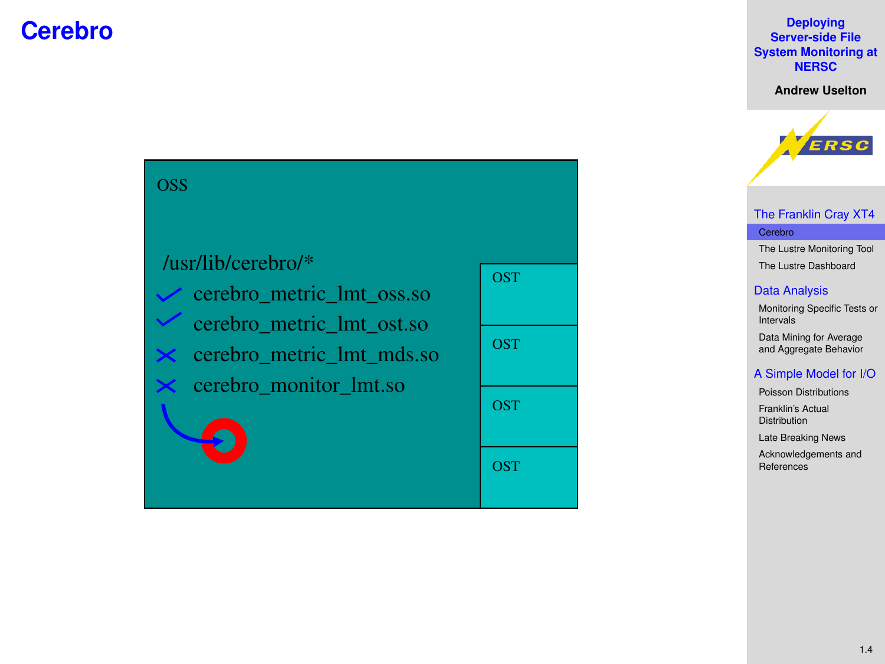### **Cerebro**

#### **Deploying Server-side File [System Monitoring at](#page-0-0) NERSC**

**Andrew Uselton**



### [The Franklin Cray XT4](#page-2-0) [Cerebro](#page-3-0)

[The Lustre Monitoring Tool](#page-4-0) [The Lustre Dashboard](#page-8-0)

### [Data Analysis](#page-9-0)

[Monitoring Specific Tests or](#page-9-0) Intervals Data Mining for Average [and Aggregate Behavior](#page-10-0)

#### [A Simple Model for I/O](#page-12-0)

[Poisson Distributions](#page-12-0) [Franklin's Actual](#page-16-0)

Distribution

[Late Breaking News](#page-17-0)

[Acknowledgements and](#page-18-0) References

OSS

### /usr/lib/cerebro/\*

<span id="page-3-0"></span>cerebro\_metric\_lmt\_mds.so cerebro\_metric\_lmt\_ost.so cerebro\_monitor\_lmt.so cerebro\_metric\_lmt\_oss.so

| <b>OST</b> |
|------------|
| OST        |
| OST        |
| OST        |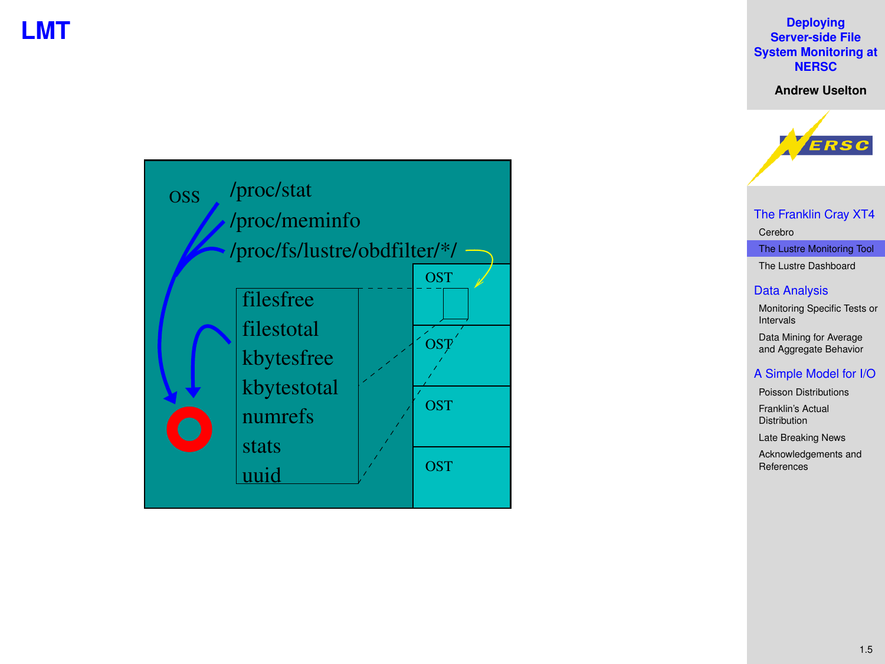### **LMT**

#### **Deploying Server-side File [System Monitoring at](#page-0-0) NERSC**

**Andrew Uselton**

<span id="page-4-0"></span>



[The Franklin Cray XT4](#page-2-0) [Cerebro](#page-3-0)

[The Lustre Monitoring Tool](#page-4-0) [The Lustre Dashboard](#page-8-0)

### [Data Analysis](#page-9-0)

[Monitoring Specific Tests or](#page-9-0) Intervals Data Mining for Average [and Aggregate Behavior](#page-10-0)

#### [A Simple Model for I/O](#page-12-0)

[Poisson Distributions](#page-12-0) [Franklin's Actual](#page-16-0)

Distribution

[Late Breaking News](#page-17-0)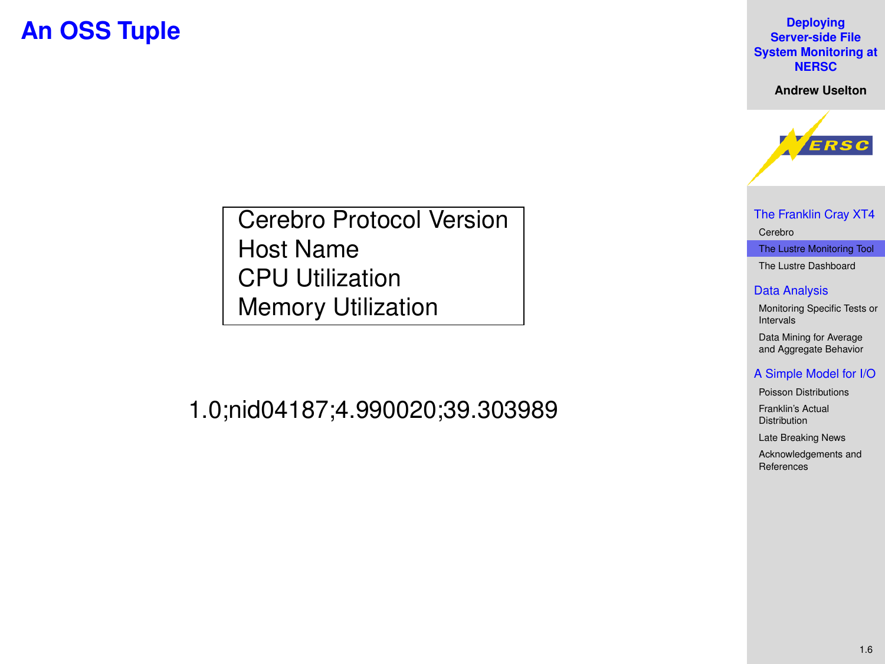### **An OSS Tuple**

**Deploying Server-side File [System Monitoring at](#page-0-0) NERSC**

**Andrew Uselton**



[The Franklin Cray XT4](#page-2-0) [Cerebro](#page-3-0)

[The Lustre Monitoring Tool](#page-4-0) [The Lustre Dashboard](#page-8-0)

#### [Data Analysis](#page-9-0)

[Monitoring Specific Tests or](#page-9-0) Intervals Data Mining for Average [and Aggregate Behavior](#page-10-0)

#### [A Simple Model for I/O](#page-12-0)

[Poisson Distributions](#page-12-0)

[Franklin's Actual](#page-16-0) Distribution

[Late Breaking News](#page-17-0)

[Acknowledgements and](#page-18-0) References

Cerebro Protocol Version Host Name CPU Utilization Memory Utilization

1.0;nid04187;4.990020;39.303989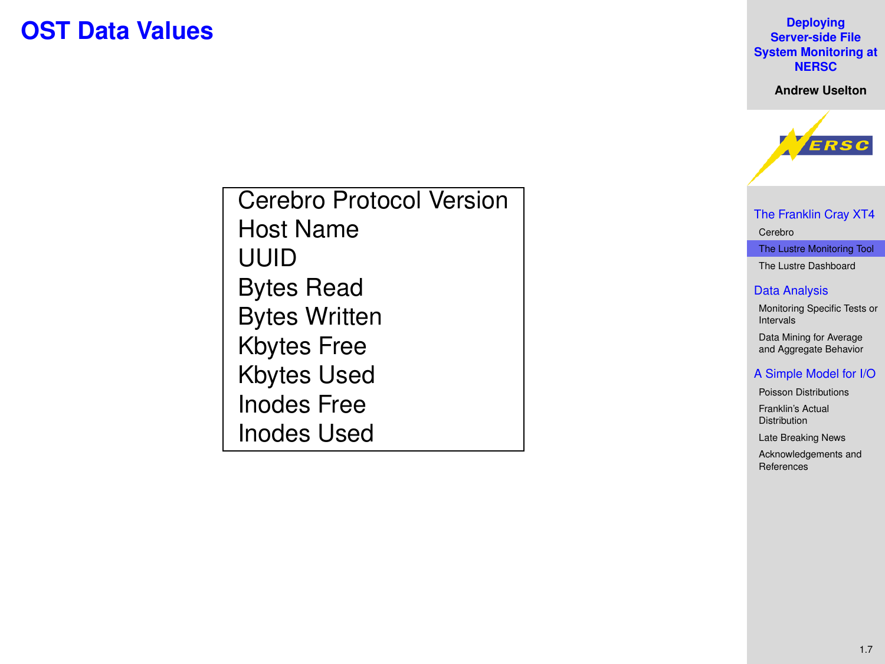### **OST Data Values**

**Deploying Server-side File [System Monitoring at](#page-0-0) NERSC**

**Andrew Uselton**



[The Franklin Cray XT4](#page-2-0) [Cerebro](#page-3-0)

[The Lustre Monitoring Tool](#page-4-0) [The Lustre Dashboard](#page-8-0)

### [Data Analysis](#page-9-0)

[Monitoring Specific Tests or](#page-9-0) Intervals Data Mining for Average [and Aggregate Behavior](#page-10-0)

#### [A Simple Model for I/O](#page-12-0)

[Poisson Distributions](#page-12-0) [Franklin's Actual](#page-16-0)

**Distribution** 

[Late Breaking News](#page-17-0)

[Acknowledgements and](#page-18-0) References

Cerebro Protocol Version Host Name UUID Bytes Read Bytes Written Kbytes Free Kbytes Used Inodes Free Inodes Used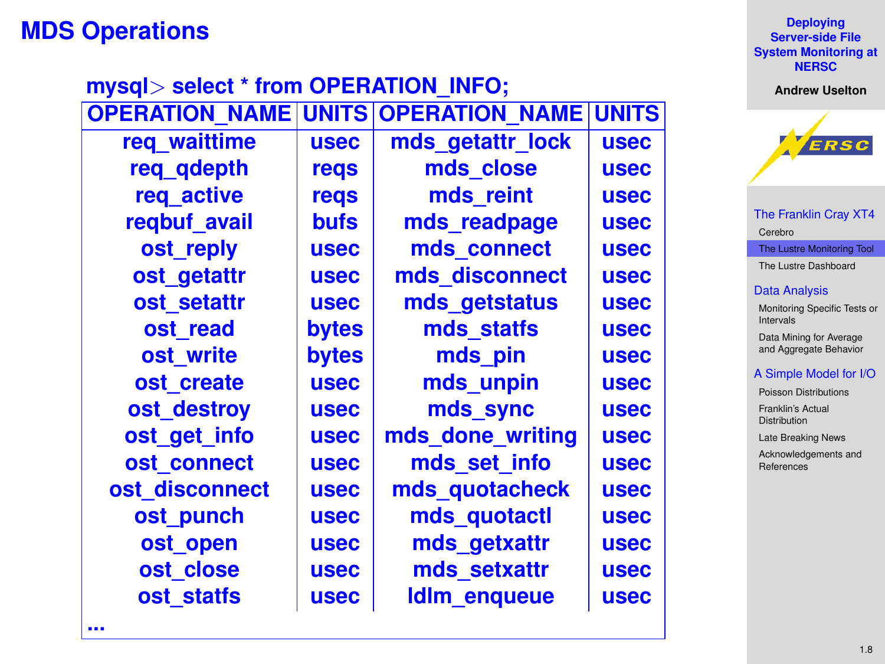### **MDS Operations**

|                            | <b>Deploying</b><br><b>Server-side File</b><br><b>System Monitoring at</b><br><b>NERSC</b> |
|----------------------------|--------------------------------------------------------------------------------------------|
| <b>NFO:</b>                | <b>Andrew Uselton</b>                                                                      |
| <b>TION NAME UNITS</b>     |                                                                                            |
| etattr lock<br><b>usec</b> | ERSC                                                                                       |

[The Franklin Cray XT4](#page-2-0) [Cerebro](#page-3-0) [The Lustre Monitoring Tool](#page-4-0) [The Lustre Dashboard](#page-8-0) [Data Analysis](#page-9-0)

VERSC

[Monitoring Specific Tests or](#page-9-0) Intervals Data Mining for Average [and Aggregate Behavior](#page-10-0)

#### [A Simple Model for I/O](#page-12-0)

[Poisson Distributions](#page-12-0) [Franklin's Actual](#page-16-0) **Distribution** [Late Breaking News](#page-17-0) [Acknowledgements and](#page-18-0)

References

| <b>OPERAIION NAME</b> |             | UNIISIOPERATION NAMEIUNIIS |             |
|-----------------------|-------------|----------------------------|-------------|
| req waittime          | <b>usec</b> | mds getattr lock           | <b>usec</b> |
| req_qdepth            | regs        | mds close                  | <b>usec</b> |
| req_active            | regs        | mds reint                  | <b>usec</b> |
| regbuf avail          | <b>bufs</b> | mds readpage               | <b>usec</b> |
| ost reply             | <b>usec</b> | mds connect                | <b>usec</b> |
| ost getattr           | <b>usec</b> | mds disconnect             | <b>usec</b> |
| ost setattr           | <b>usec</b> | mds getstatus              | <b>usec</b> |
| ost read              | bytes       | mds statfs                 | <b>usec</b> |
| ost write             | bytes       | mds pin                    | <b>usec</b> |
| ost create            | <b>usec</b> | mds unpin                  | <b>usec</b> |
| ost_destroy           | <b>usec</b> | mds sync                   | <b>usec</b> |
| ost get info          | <b>usec</b> | mds done writing           | <b>usec</b> |
| ost_connect           | <b>usec</b> | mds_set_info               | <b>usec</b> |
| ost disconnect        | <b>usec</b> | mds quotacheck             | <b>usec</b> |
| ost_punch             | <b>usec</b> | mds_quotactl               | <b>usec</b> |
| ost open              | <b>usec</b> | mds getxattr               | <b>usec</b> |
| ost close             | <b>usec</b> | mds setxattr               | <b>usec</b> |
| ost statfs            | <b>usec</b> | <b>Idlm</b> enqueue        | <b>usec</b> |
|                       |             |                            |             |

**mysql**> **select \* from OPERATION\_INFO;**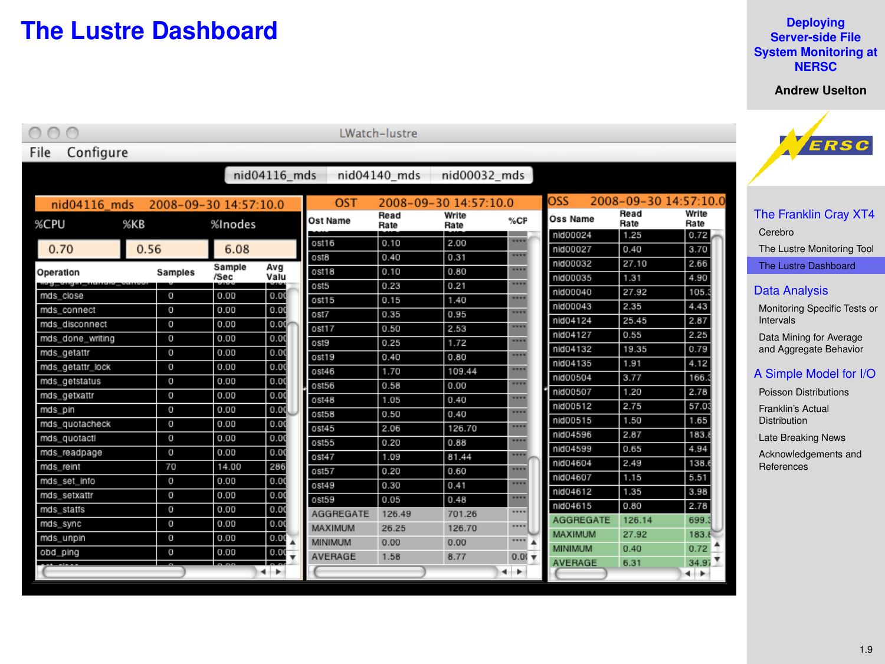### **The Lustre Dashboard**

#### **Deploying Server-side File [System Monitoring at](#page-0-0) NERSC**

**Andrew Uselton**

<span id="page-8-0"></span>

| Configure<br>File |                       |                |                   |                   | LWatch-lustre |                       |                           |                      |                      |                       | VERSC                            |
|-------------------|-----------------------|----------------|-------------------|-------------------|---------------|-----------------------|---------------------------|----------------------|----------------------|-----------------------|----------------------------------|
|                   |                       |                | nid04116_mds      |                   | nid04140 mds  | nid00032_mds          |                           |                      |                      |                       |                                  |
| $nid04116$ mds    | 2008-09-30 14:57:10.0 |                |                   | OST               |               | 2008-09-30 14:57:10.0 |                           | OSS                  |                      | 2008-09-30 14:57:10.0 |                                  |
| %CPU              | %KR                   | %Inodes        |                   | Ost Name          | Read<br>Rate  | Write<br>Rate         | %CF                       | Oss Name<br>nid00024 | Read<br>Rate<br>1.25 | Write<br>Rate<br>0.72 | The Franklin Cray XT4<br>Cerebro |
| 0.70              | 0.56                  | 6.08           |                   | ost16<br>ost8     | 0.10<br>0.40  | 2.00<br>0.31          | <br>                      | nid00027             | 0.40                 | 3.70                  | The Lustre Monitoring Tool       |
| Operation         | <b>Samples</b>        | Sample<br>/Sec | Avg<br>Valu       | ost18             | 0.10          | 0.80                  |                           | nid00032             | 27.10                | 2.66                  | The Lustre Dashboard             |
| mds close         | $\overline{0}$        | 0.00           | 0.00              | ost5              | 0.23          | 0.21                  | <br>                      | nid00035<br>nid00040 | 1.31<br>27.92        | 4.90<br>105.          | <b>Data Analysis</b>             |
| mds connect       | $\mathbf 0$           | 0.00           | 0.0               | ost15<br>ost7     | 0.15<br>0.35  | 1.40<br>0.95          |                           | nid00043             | 2.35                 | 4.43                  | Monitoring Specific Tests or     |
| mds disconnect    | $\overline{0}$        | 0.00           | 0.00              | <b>ost17</b>      | 0.50          | 2.53                  |                           | nid04124             | 25.45                | 2.87                  | Intervals                        |
| mds_done_writing  | $\circ$               | 0.00           | 0.00              | ost9              | 0.25          | 1.72                  |                           | nid04127             | 0.55                 | 2.25                  | Data Mining for Average          |
| mds getattr       | $\circ$               | 0.00           | 0.00              | ost19             | 0.40          | 0.80                  |                           | nid04132             | 19.35                | 0.79                  | and Aggregate Behavior           |
| mds getattr lock  | $\theta$              | 0.00           | 0.00              | ost46             | 1.70          | 109.44                |                           | nid04135             | 1.91                 | 4.12                  |                                  |
| mds_getstatus     | $\circ$               | 0.00           | 0.00              | ost56             | 0.58          | 0.00                  |                           | nid00504             | 3.77                 | 166.                  | A Simple Model for I/O           |
| mds getxattr      | $\theta$              | 0.00           | 0.00              | 0s148             | 1.05          | 0.40                  |                           | nid00507             | 1.20                 | 2.78                  | Poisson Distributions            |
| mds_pin           | $\mathbf 0$           | 0.00           | 0.0               | ost58             | 0.50          | 0.40                  |                           | nid00512             | 2.75                 | 57.03                 | Franklin's Actual                |
| mds quotacheck    | $\overline{0}$        | 0.00           | 0.00              | <b>0S145</b>      | 2.06          | 126.70                |                           | nid00515             | 1.50                 | 1.65                  | <b>Distribution</b>              |
| mds_quotactl      | $\circ$               | 0.00           | 0.00              | ost55             | 0.20          | 0.88                  |                           | nid04596             | 2.87                 | 183.8                 | Late Breaking News               |
| mds_readpage      | $\overline{0}$        | 0.00           | 0.00              | 0s147             | 1.09          | 81.44                 |                           | nid04599             | 0.65                 | 4.94                  | Acknowledgements and             |
| mds_reint         | 70                    | 14.00          | 286               | ost57             | 0.20          | 0.60                  |                           | nid04604             | 2.49                 | 138.                  | References                       |
| mds set info      | $\mathbf{0}$          | 0.00           | 0.0(              | 0 <sup>st49</sup> | 0.30          | 0.41                  |                           | nid04607             | 1.15                 | 5.51                  |                                  |
| mds setxattr      | $\circ$               | 0.00           | 0.00              | <b>ost59</b>      | 0.05          | 0.48                  |                           | nid04612             | 1.35                 | 3.98                  |                                  |
| mds statfs        | $\mathbf 0$           | 0.00           | 0.00              | <b>AGGREGATE</b>  | 126.49        | 701.26                |                           | nid04615             | 0.80                 | 2.78                  |                                  |
| mds_sync          | $\circ$               | 0.00           | 0.00              | MAXIMUM           | 26.25         | 126.70                |                           | <b>AGGREGATE</b>     | 126.14               | 699.                  |                                  |
| mds_unpin         | $\theta$              | 0.00           | 0.00              | MINIMUM           | 0.00          | 0.00                  |                           | <b>MAXIMUM</b>       | 27.92                | 183.8                 |                                  |
| obd_ping          | $\mathbf 0$           | 0.00           | 0.00              | AVERAGE           | 1.58          | 8.77                  | $0.01 \blacktriangledown$ | <b>MINIMUM</b>       | 0.40                 | 0.72                  |                                  |
|                   |                       |                | =<br>$\leftarrow$ |                   |               |                       | $\leftarrow$              | <b>AVERAGE</b>       | 6.31                 | 34.97<br>$\leftarrow$ |                                  |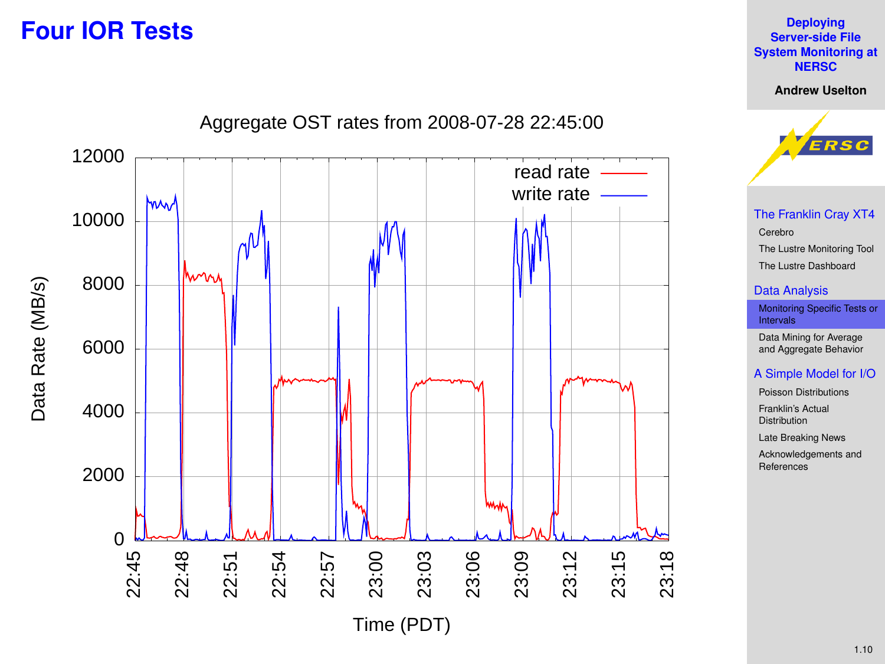### **Four IOR Tests**

<span id="page-9-0"></span>

**Deploying Server-side File [System Monitoring at](#page-0-0) NERSC**

1.10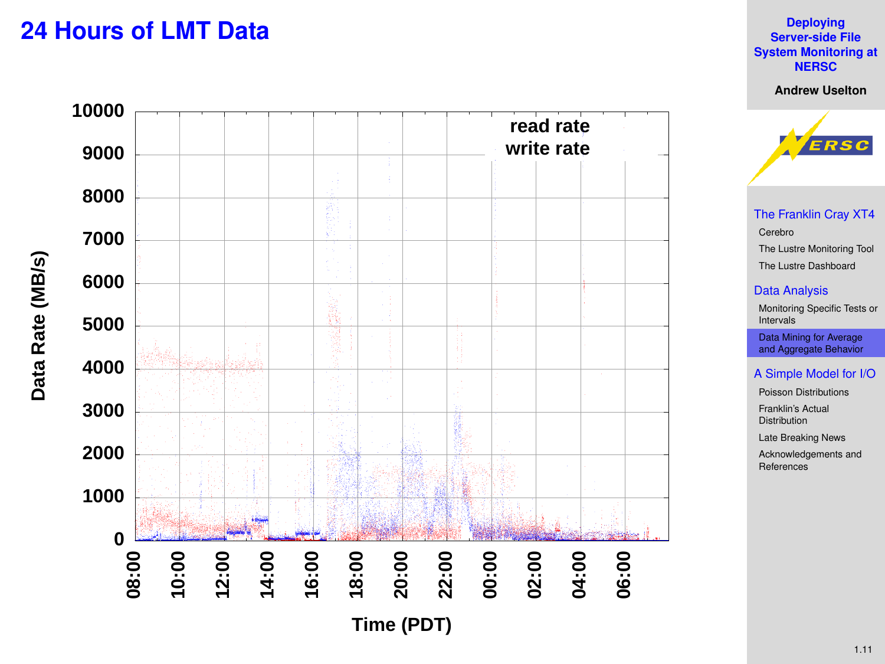### **24 Hours of LMT Data**

<span id="page-10-0"></span>

**Deploying Server-side File [System Monitoring at](#page-0-0) NERSC**

**Andrew Uselton**



[The Franklin Cray XT4](#page-2-0) [Cerebro](#page-3-0) [The Lustre Monitoring Tool](#page-4-0) [The Lustre Dashboard](#page-8-0)

### [Data Analysis](#page-9-0)

[Monitoring Specific Tests or](#page-9-0) Intervals

Data Mining for Average [and Aggregate Behavior](#page-10-0)

### [A Simple Model for I/O](#page-12-0)

[Poisson Distributions](#page-12-0)

[Franklin's Actual](#page-16-0) Distribution

[Late Breaking News](#page-17-0)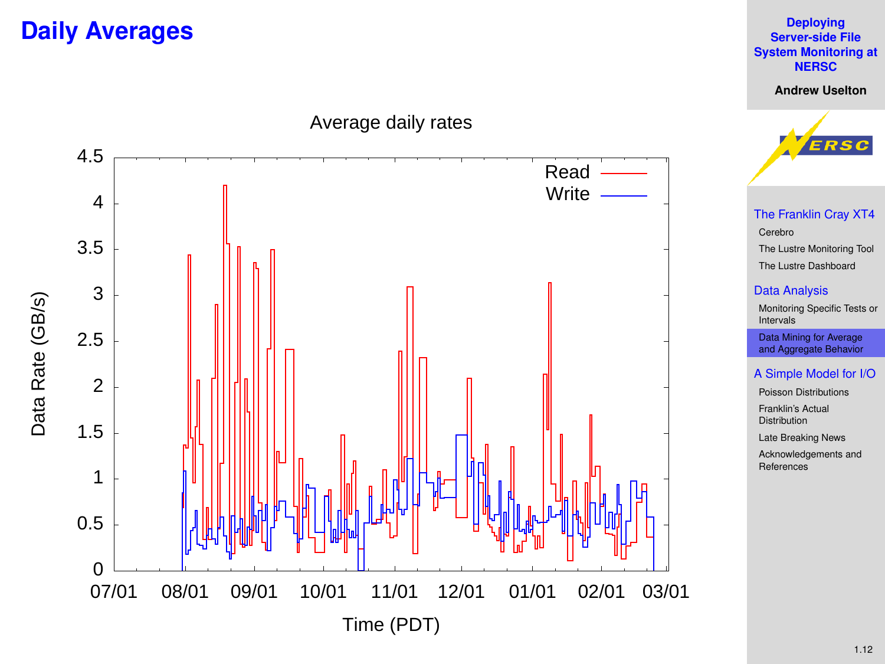### **Daily Averages**

**Deploying Server-side File [System Monitoring at](#page-0-0) NERSC**

**Andrew Uselton**

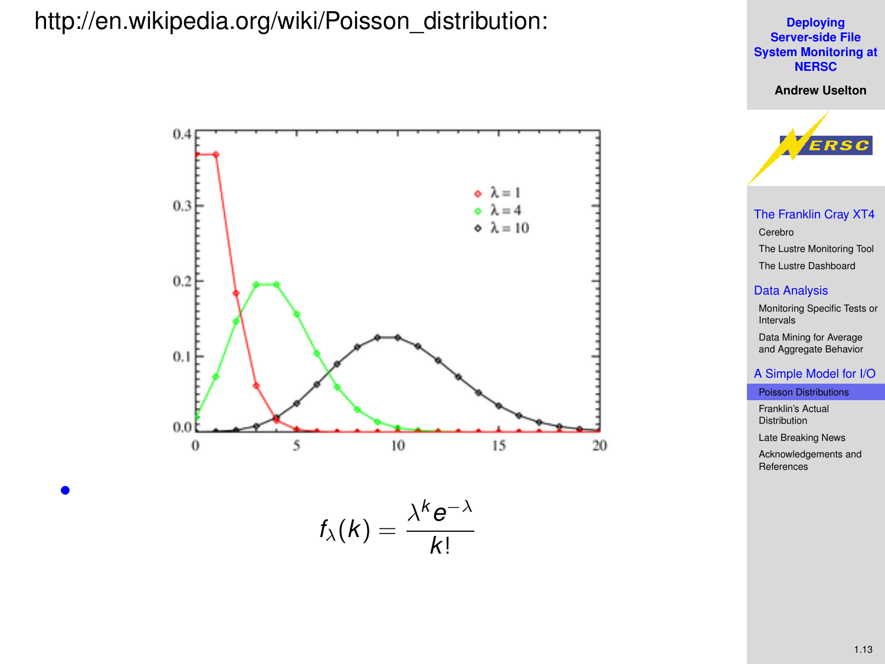### http://en.wikipedia.org/wiki/Poisson\_distribution:

<span id="page-12-0"></span>•



**Deploying Server-side File [System Monitoring at](#page-0-0) NERSC**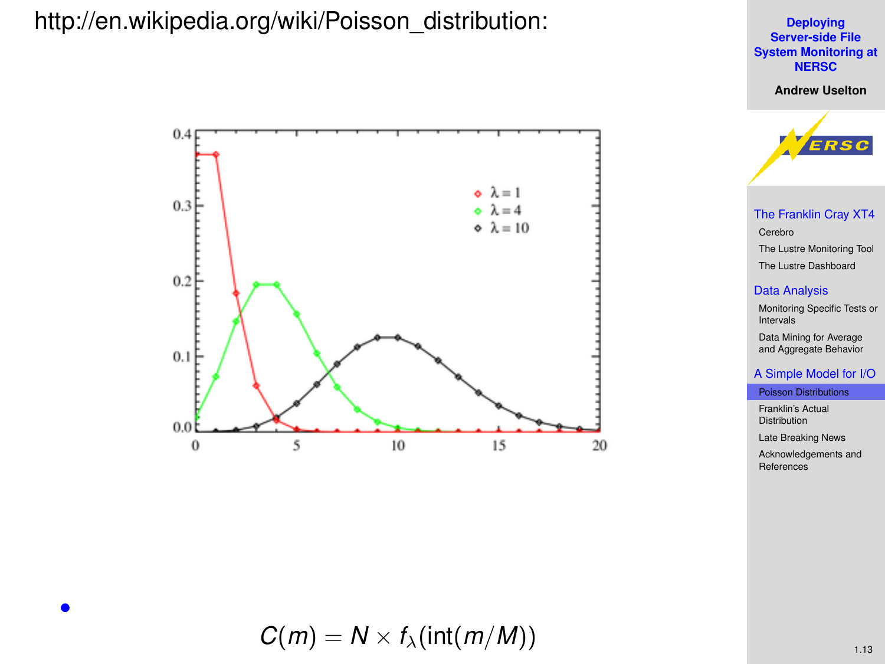### http://en.wikipedia.org/wiki/Poisson\_distribution:



$$
C(m) = N \times f_{\lambda}(\text{int}(m/M))
$$

**Deploying Server-side File [System Monitoring at](#page-0-0) NERSC Andrew Uselton**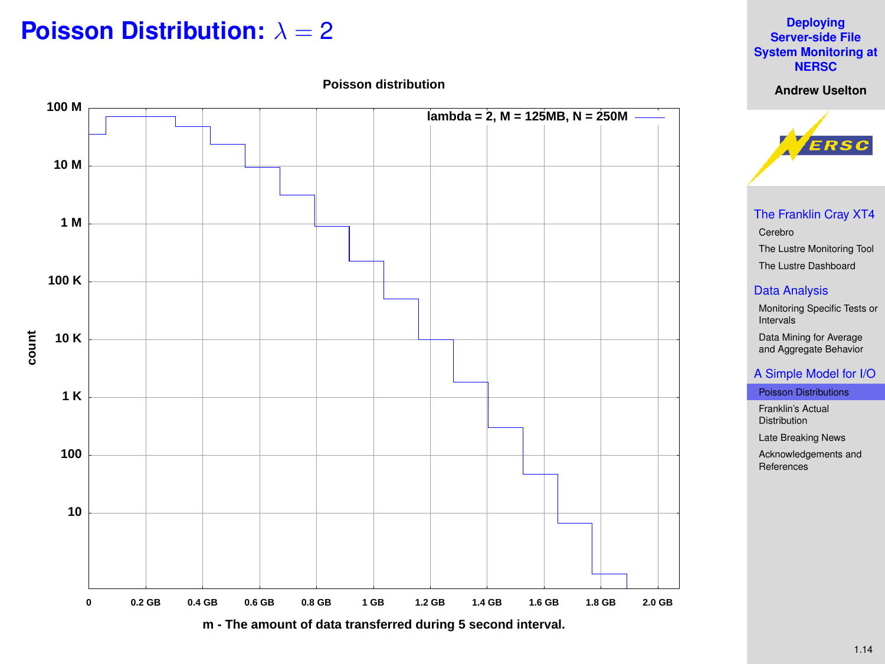### **Poisson Distribution:** λ = 2



### 1.14

#### **Deploying Server-side File [System Monitoring at](#page-0-0) NERSC**

**Andrew Uselton Poisson distribution**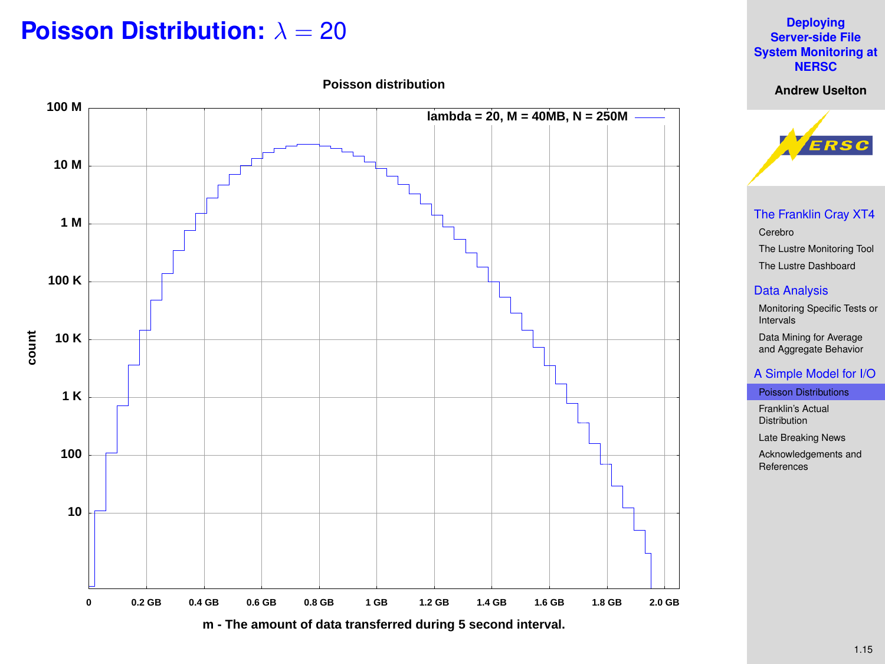### **Poisson Distribution:** λ = 20



#### **Deploying Server-side File [System Monitoring at](#page-0-0) NERSC**

**Andrew Uselton Poisson distribution**



[The Franklin Cray XT4](#page-2-0) [Cerebro](#page-3-0) [The Lustre Monitoring Tool](#page-4-0) [The Lustre Dashboard](#page-8-0)

### [Data Analysis](#page-9-0)

[Monitoring Specific Tests or](#page-9-0) Intervals Data Mining for Average [and Aggregate Behavior](#page-10-0)

### [A Simple Model for I/O](#page-12-0)

[Poisson Distributions](#page-12-0)

[Franklin's Actual](#page-16-0) Distribution

[Late Breaking News](#page-17-0)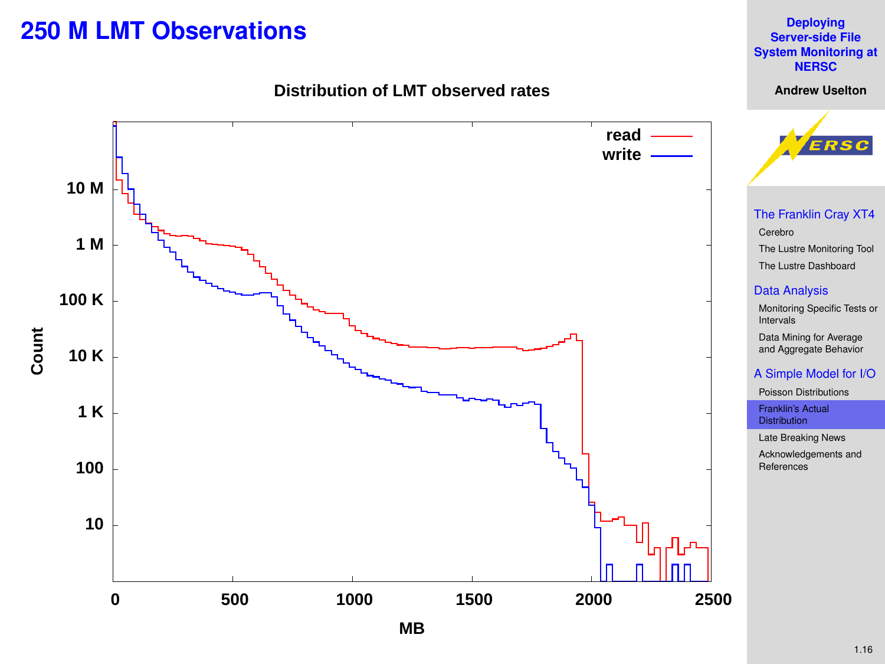### **250 M LMT Observations**



<span id="page-16-0"></span>

**Deploying Server-side File [System Monitoring at](#page-0-0) NERSC Andrew Uselton**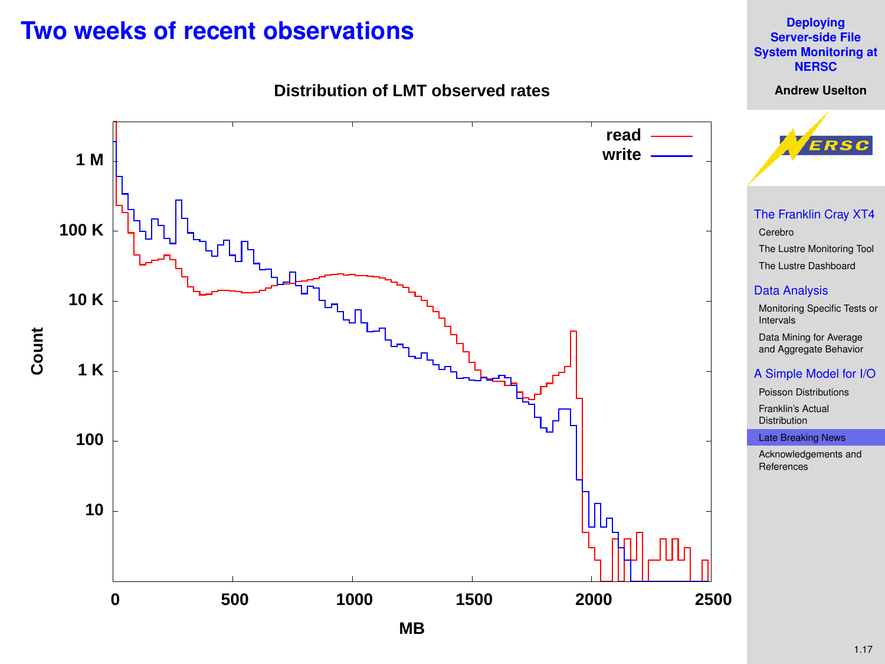### **Two weeks of recent observations**

**Distribution of LMT observed rates**

<span id="page-17-0"></span>

**Deploying Server-side File [System Monitoring at](#page-0-0) NERSC Andrew Uselton**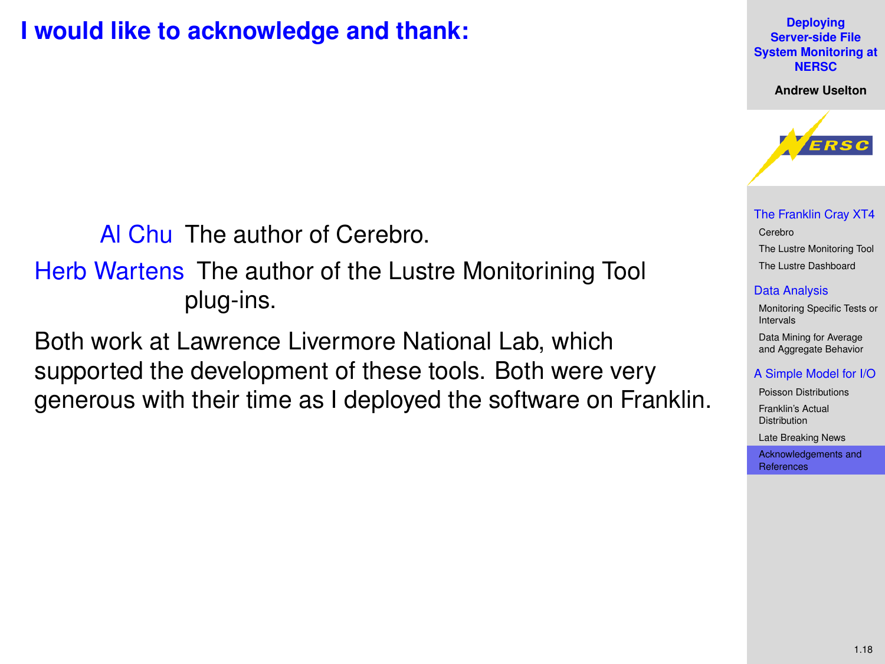### **I would like to acknowledge and thank:**

Al Chu The author of Cerebro.

Herb Wartens The author of the Lustre Monitorining Tool plug-ins.

<span id="page-18-0"></span>Both work at Lawrence Livermore National Lab, which supported the development of these tools. Both were very generous with their time as I deployed the software on Franklin.

#### **Deploying Server-side File [System Monitoring at](#page-0-0) NERSC**

**Andrew Uselton**



[The Franklin Cray XT4](#page-2-0) [Cerebro](#page-3-0) [The Lustre Monitoring Tool](#page-4-0) [The Lustre Dashboard](#page-8-0)

#### [Data Analysis](#page-9-0)

[Monitoring Specific Tests or](#page-9-0) Intervals Data Mining for Average [and Aggregate Behavior](#page-10-0)

#### [A Simple Model for I/O](#page-12-0)

[Poisson Distributions](#page-12-0) [Franklin's Actual](#page-16-0) **Distribution** 

[Late Breaking News](#page-17-0)